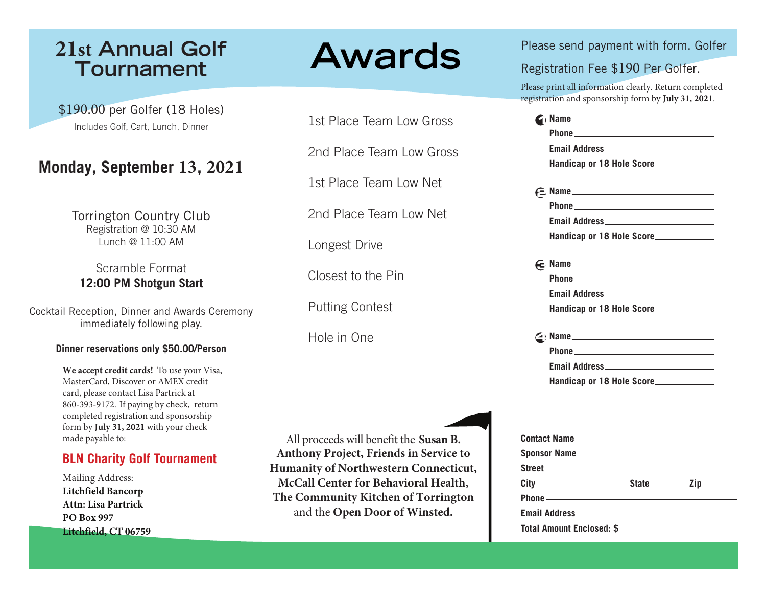# **21st Annual Golf Tournament**

\$195.00 per Golfer (18 Holes) Includes Golf, Cart, Lunch, Dinner

# **Monday, September 13, 2021**

Torrington Country Club Registration @ 10:30 AM Lunch @ 11:00 AM

## Scramble Format **12:00 PM Shotgun Start**

Cocktail Reception, Dinner and Awards Ceremony immediately following play.

### **Dinner reservations only \$50.00/Person**

**We accept credit cards!** To use your Visa, MasterCard, Discover or AMEX credit card, please contact Lisa Partrick at 860-393-9172. If paying by check, return completed registration and sponsorship form by **July 31, 2021** with your check made payable to:

### **BLN Charity Golf Tournament**

Mailing Address: **Litchfield Bancorp Attn: Lisa Partrick PO Box 997 Litchfield, CT 06759**

# **Awards**

1st Place Team Low Gross

2nd Place Team Low Gross

All proceeds will benefit the **Susan B. Anthony Project, Friends in Service to Humanity of Northwestern Connecticut, McCall Center for Behavioral Health, The Community Kitchen of Torrington** and the **Open Door of Winsted.** 1st Place Team Low Net 2nd Place Team Low Net Longest Drive Closest to the Pin Putting Contest Hole in One

Please send payment with form. Golfer

Registration Fee \$195 Per Golfer.

Please print all information clearly. Return completed registration and sponsorship form by **July 31, 2021**.

| $\sim$ Name                                                                                                                                                                                                                          |
|--------------------------------------------------------------------------------------------------------------------------------------------------------------------------------------------------------------------------------------|
|                                                                                                                                                                                                                                      |
|                                                                                                                                                                                                                                      |
| Handicap or 18 Hole Score                                                                                                                                                                                                            |
|                                                                                                                                                                                                                                      |
| $E$ Name                                                                                                                                                                                                                             |
| <u>Phone</u>                                                                                                                                                                                                                         |
|                                                                                                                                                                                                                                      |
| Handicap or 18 Hole Score                                                                                                                                                                                                            |
|                                                                                                                                                                                                                                      |
| $\epsilon$ Name                                                                                                                                                                                                                      |
|                                                                                                                                                                                                                                      |
|                                                                                                                                                                                                                                      |
| Handicap or 18 Hole Score                                                                                                                                                                                                            |
| $\leq$ > Name                                                                                                                                                                                                                        |
|                                                                                                                                                                                                                                      |
|                                                                                                                                                                                                                                      |
| Handicap or 18 Hole Score                                                                                                                                                                                                            |
|                                                                                                                                                                                                                                      |
|                                                                                                                                                                                                                                      |
|                                                                                                                                                                                                                                      |
|                                                                                                                                                                                                                                      |
| Sponsor Name                                                                                                                                                                                                                         |
| Street – England Communication of the Communication of the Communication of the Communication of the Communication of the Communication of the Communication of the Communication of the Communication of the Communication of       |
|                                                                                                                                                                                                                                      |
| Phone <u>- 2008 - 2008 - 2009 - 2009 - 2009 - 2009 - 2009 - 2009 - 2009 - 2009 - 2009 - 2009 - 2009 - 2009 - 2009 - 2009 - 2009 - 2009 - 2009 - 2009 - 2009 - 2009 - 2009 - 2009 - 2009 - 2009 - 2009 - 2009 - 2009 - 2009 - 200</u> |
|                                                                                                                                                                                                                                      |
| Total Amount Enclosed: \$                                                                                                                                                                                                            |